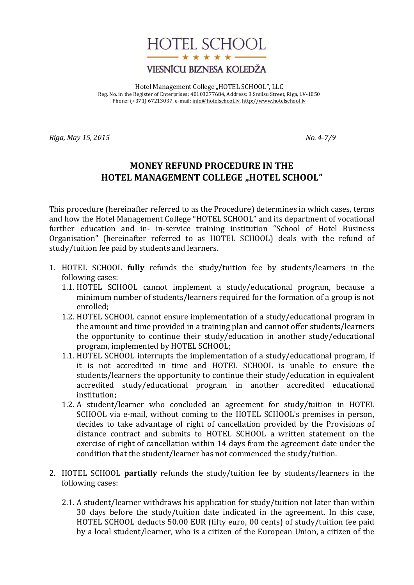

## VIESNĪCU BIZNESA KOLEDŽA

Hotel Management College "HOTEL SCHOOL", LLC Reg. No. in the Register of Enterprises: 40103277684, Address: 3 Smilsu Street, Riga, LV-1050 Phone: (+371) 67213037, e-mail[: info@hotelschool.lv,](mailto:info@hotelschool.lv) [http://www.hotelschool.lv](http://www.hotelschool.lv/)

*Riga, May 15, 2015 No. 4-7/9*

## **MONEY REFUND PROCEDURE IN THE HOTEL MANAGEMENT COLLEGE "HOTEL SCHOOL"**

This procedure (hereinafter referred to as the Procedure) determines in which cases, terms and how the Hotel Management College "HOTEL SCHOOL" and its department of vocational further education and in- in-service training institution "School of Hotel Business Organisation" (hereinafter referred to as HOTEL SCHOOL) deals with the refund of study/tuition fee paid by students and learners.

- 1. HOTEL SCHOOL **fully** refunds the study/tuition fee by students/learners in the following cases:
	- 1.1. HOTEL SCHOOL cannot implement a study/educational program, because a minimum number of students/learners required for the formation of a group is not enrolled;
	- 1.2. HOTEL SCHOOL cannot ensure implementation of a study/educational program in the amount and time provided in a training plan and cannot offer students/learners the opportunity to continue their study/education in another study/educational program, implemented by HOTEL SCHOOL;
	- 1.1. HOTEL SCHOOL interrupts the implementation of a study/educational program, if it is not accredited in time and HOTEL SCHOOL is unable to ensure the students/learners the opportunity to continue their study/education in equivalent accredited study/educational program in another accredited educational institution;
	- 1.2. A student/learner who concluded an agreement for study/tuition in HOTEL SCHOOL via e-mail, without coming to the HOTEL SCHOOL's premises in person, decides to take advantage of right of cancellation provided by the Provisions of distance contract and submits to HOTEL SCHOOL a written statement on the exercise of right of cancellation within 14 days from the agreement date under the condition that the student/learner has not commenced the study/tuition.
- 2. HOTEL SCHOOL **partially** refunds the study/tuition fee by students/learners in the following cases:
	- 2.1. A student/learner withdraws his application for study/tuition not later than within 30 days before the study/tuition date indicated in the agreement. In this case, HOTEL SCHOOL deducts 50.00 EUR (fifty euro, 00 cents) of study/tuition fee paid by a local student/learner, who is a citizen of the European Union, a citizen of the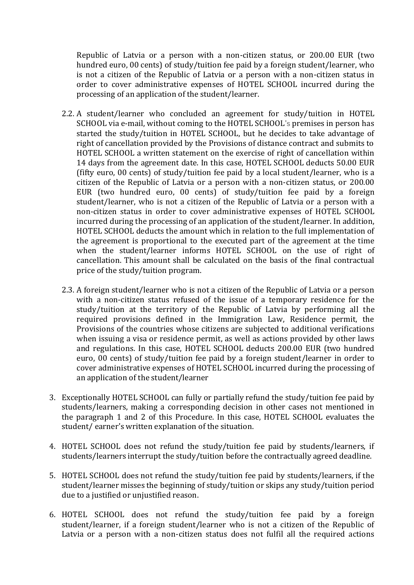Republic of Latvia or a person with a non-citizen status, or 200.00 EUR (two hundred euro, 00 cents) of study/tuition fee paid by a foreign student/learner, who is not a citizen of the Republic of Latvia or a person with a non-citizen status in order to cover administrative expenses of HOTEL SCHOOL incurred during the processing of an application of the student/learner.

- 2.2. A student/learner who concluded an agreement for study/tuition in HOTEL SCHOOL via e-mail, without coming to the HOTEL SCHOOL's premises in person has started the study/tuition in HOTEL SCHOOL, but he decides to take advantage of right of cancellation provided by the Provisions of distance contract and submits to HOTEL SCHOOL a written statement on the exercise of right of cancellation within 14 days from the agreement date. In this case, HOTEL SCHOOL deducts 50.00 EUR (fifty euro, 00 cents) of study/tuition fee paid by a local student/learner, who is a citizen of the Republic of Latvia or a person with a non-citizen status, or 200.00 EUR (two hundred euro, 00 cents) of study/tuition fee paid by a foreign student/learner, who is not a citizen of the Republic of Latvia or a person with a non-citizen status in order to cover administrative expenses of HOTEL SCHOOL incurred during the processing of an application of the student/learner. In addition, HOTEL SCHOOL deducts the amount which in relation to the full implementation of the agreement is proportional to the executed part of the agreement at the time when the student/learner informs HOTEL SCHOOL on the use of right of cancellation. This amount shall be calculated on the basis of the final contractual price of the study/tuition program.
- 2.3. A foreign student/learner who is not a citizen of the Republic of Latvia or a person with a non-citizen status refused of the issue of a temporary residence for the study/tuition at the territory of the Republic of Latvia by performing all the required provisions defined in the Immigration Law, Residence permit, the Provisions of the countries whose citizens are subjected to additional verifications when issuing a visa or residence permit, as well as actions provided by other laws and regulations. In this case, HOTEL SCHOOL deducts 200.00 EUR (two hundred euro, 00 cents) of study/tuition fee paid by a foreign student/learner in order to cover administrative expenses of HOTEL SCHOOL incurred during the processing of an application of the student/learner
- 3. Exceptionally HOTEL SCHOOL can fully or partially refund the study/tuition fee paid by students/learners, making a corresponding decision in other cases not mentioned in the paragraph 1 and 2 of this Procedure. In this case, HOTEL SCHOOL evaluates the student/ earner's written explanation of the situation.
- 4. HOTEL SCHOOL does not refund the study/tuition fee paid by students/learners, if students/learners interrupt the study/tuition before the contractually agreed deadline.
- 5. HOTEL SCHOOL does not refund the study/tuition fee paid by students/learners, if the student/learner misses the beginning of study/tuition or skips any study/tuition period due to a justified or unjustified reason.
- 6. HOTEL SCHOOL does not refund the study/tuition fee paid by a foreign student/learner, if a foreign student/learner who is not a citizen of the Republic of Latvia or a person with a non-citizen status does not fulfil all the required actions